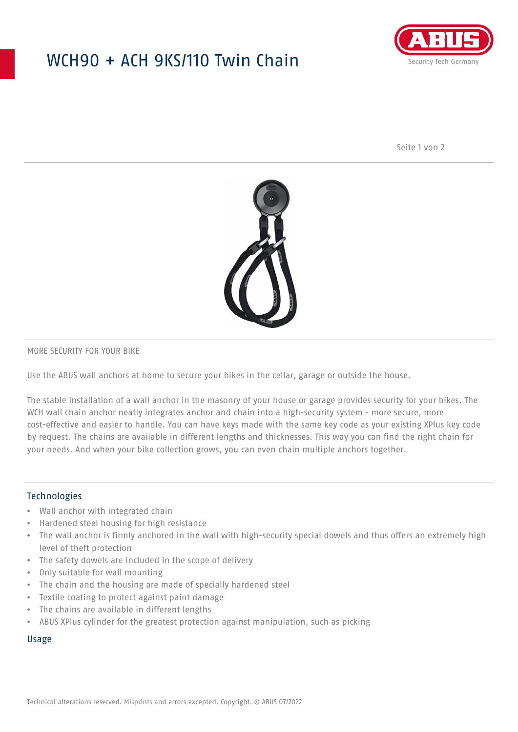## WCH90 + ACH 9KS/110 Twin Chain



Seite 1 von 2



#### MORE SECURITY FOR YOUR BIKE

Use the ABUS wall anchors at home to secure your bikes in the cellar, garage or outside the house.

The stable installation of a wall anchor in the masonry of your house or garage provides security for your bikes. The WCH wall chain anchor neatly integrates anchor and chain into a high-security system - more secure, more cost-effective and easier to handle. You can have keys made with the same key code as your existing XPlus key code by request. The chains are available in different lengths and thicknesses. This way you can find the right chain for your needs. And when your bike collection grows, you can even chain multiple anchors together.

#### Technologies

- Wall anchor with integrated chain
- Hardened steel housing for high resistance
- The wall anchor is firmly anchored in the wall with high-security special dowels and thus offers an extremely high level of theft protection
- The safety dowels are included in the scope of delivery
- Only suitable for wall mounting
- The chain and the housing are made of specially hardened steel
- Textile coating to protect against paint damage
- The chains are available in different lengths
- ABUS XPlus cylinder for the greatest protection against manipulation, such as picking

### Usage